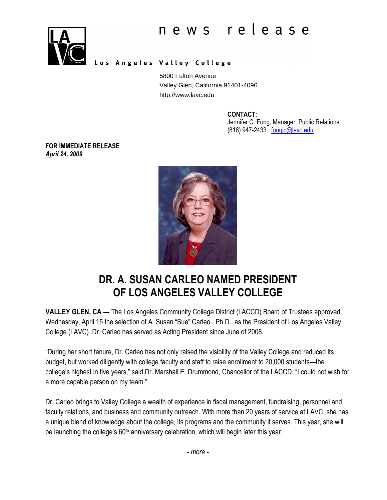

#### Los Angeles Valley College

5800 Fulton Avenue Valley Glen, California 91401-4096 http://www.lavc.edu

CONTACT:

Jennifer C. Fong, Manager, Public Relations (818) 947-2433 fongjc@lavc.edu

FOR IMMEDIATE RELEASE April 24, 2009



# DR. A. SUSAN CARLEO NAMED PRESIDENT OF LOS ANGELES VALLEY COLLEGE

VALLEY GLEN, CA — The Los Angeles Community College District (LACCD) Board of Trustees approved Wednesday, April 15 the selection of A. Susan "Sue" Carleo., Ph.D., as the President of Los Angeles Valley College (LAVC). Dr. Carleo has served as Acting President since June of 2008.

"During her short tenure, Dr. Carleo has not only raised the visibility of the Valley College and reduced its budget, but worked diligently with college faculty and staff to raise enrollment to 20,000 students—the college's highest in five years," said Dr. Marshall E. Drummond, Chancellor of the LACCD. "I could not wish for a more capable person on my team."

Dr. Carleo brings to Valley College a wealth of experience in fiscal management, fundraising, personnel and faculty relations, and business and community outreach. With more than 20 years of service at LAVC, she has a unique blend of knowledge about the college, its programs and the community it serves. This year, she will be launching the college's 60<sup>th</sup> anniversary celebration, which will begin later this year.